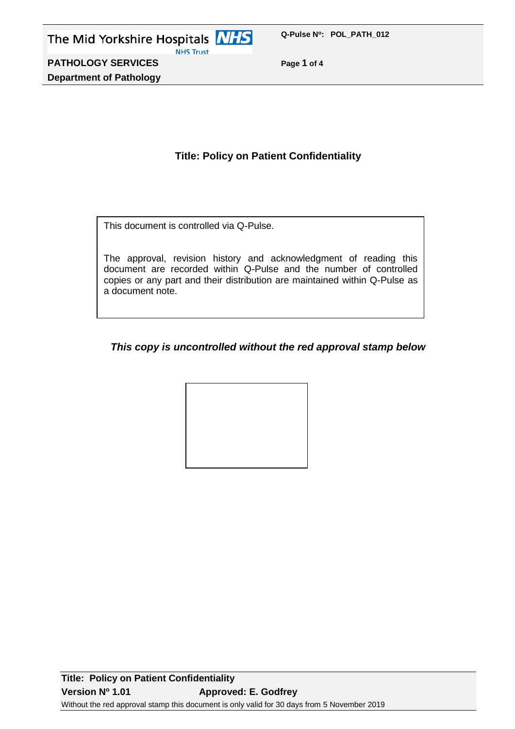**PATHOLOGY SERVICES Page 1 of 4 Department of Pathology**

# **Title: Policy on Patient Confidentiality**

This document is controlled via Q-Pulse.

The approval, revision history and acknowledgment of reading this document are recorded within Q-Pulse and the number of controlled copies or any part and their distribution are maintained within Q-Pulse as a document note.

# *This copy is uncontrolled without the red approval stamp below*

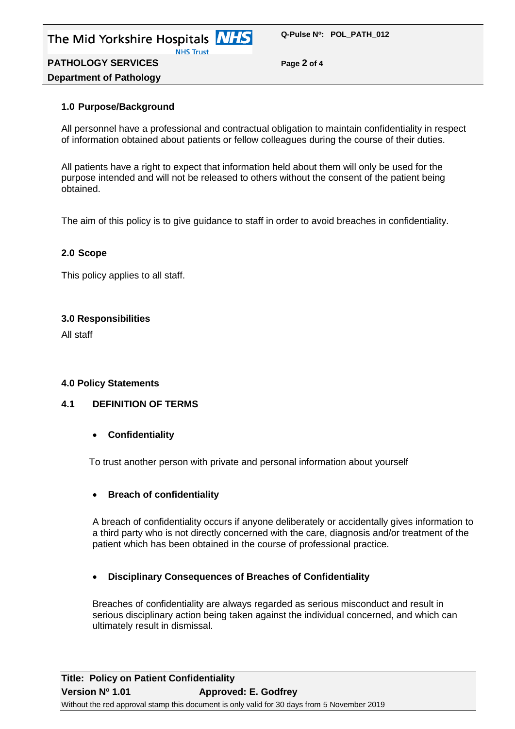

**PATHOLOGY SERVICES Page 2 of 4 Department of Pathology**

## **1.0 Purpose/Background**

All personnel have a professional and contractual obligation to maintain confidentiality in respect of information obtained about patients or fellow colleagues during the course of their duties.

All patients have a right to expect that information held about them will only be used for the purpose intended and will not be released to others without the consent of the patient being obtained.

The aim of this policy is to give guidance to staff in order to avoid breaches in confidentiality.

#### **2.0 Scope**

This policy applies to all staff.

#### **3.0 Responsibilities**

All staff

## **4.0 Policy Statements**

#### **4.1 DEFINITION OF TERMS**

**Confidentiality**

To trust another person with private and personal information about yourself

## **Breach of confidentiality**

A breach of confidentiality occurs if anyone deliberately or accidentally gives information to a third party who is not directly concerned with the care, diagnosis and/or treatment of the patient which has been obtained in the course of professional practice.

#### **Disciplinary Consequences of Breaches of Confidentiality**

Breaches of confidentiality are always regarded as serious misconduct and result in serious disciplinary action being taken against the individual concerned, and which can ultimately result in dismissal.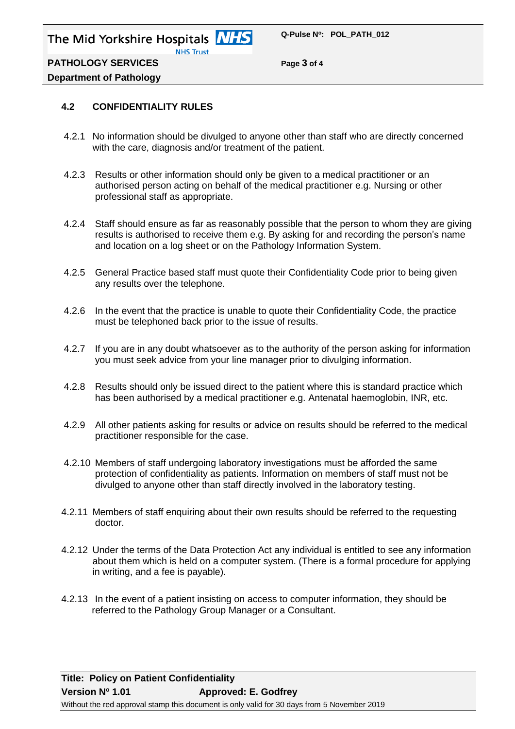The Mid Yorkshire Hospitals **NHS NHS Trust** 

**PATHOLOGY SERVICES Page 3 of 4**

# **Department of Pathology**

## **4.2 CONFIDENTIALITY RULES**

- 4.2.1 No information should be divulged to anyone other than staff who are directly concerned with the care, diagnosis and/or treatment of the patient.
- 4.2.3 Results or other information should only be given to a medical practitioner or an authorised person acting on behalf of the medical practitioner e.g. Nursing or other professional staff as appropriate.
- 4.2.4 Staff should ensure as far as reasonably possible that the person to whom they are giving results is authorised to receive them e.g. By asking for and recording the person's name and location on a log sheet or on the Pathology Information System.
- 4.2.5 General Practice based staff must quote their Confidentiality Code prior to being given any results over the telephone.
- 4.2.6 In the event that the practice is unable to quote their Confidentiality Code, the practice must be telephoned back prior to the issue of results.
- 4.2.7 If you are in any doubt whatsoever as to the authority of the person asking for information you must seek advice from your line manager prior to divulging information.
- 4.2.8 Results should only be issued direct to the patient where this is standard practice which has been authorised by a medical practitioner e.g. Antenatal haemoglobin, INR, etc.
- 4.2.9 All other patients asking for results or advice on results should be referred to the medical practitioner responsible for the case.
- 4.2.10 Members of staff undergoing laboratory investigations must be afforded the same protection of confidentiality as patients. Information on members of staff must not be divulged to anyone other than staff directly involved in the laboratory testing.
- 4.2.11 Members of staff enquiring about their own results should be referred to the requesting doctor.
- 4.2.12 Under the terms of the Data Protection Act any individual is entitled to see any information about them which is held on a computer system. (There is a formal procedure for applying in writing, and a fee is payable).
- 4.2.13 In the event of a patient insisting on access to computer information, they should be referred to the Pathology Group Manager or a Consultant.